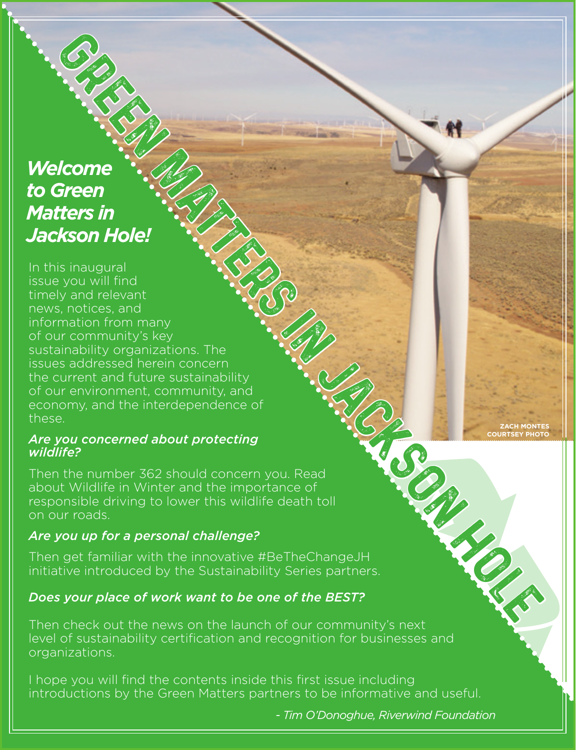## *Welcome to Green Matters in Jackson Hole!*

In this inaugural issue you will find timely and relevant news, notices, and information from many of our community's key sustainability organizations. The issues addressed herein concern the current and future sustainability of our environment, community, and economy, and the interdependence of these. green there is a substantial of the state of the state of the state of the state of the state of the state of the state of the state of the principal containing the state of the state of the state of the state of the state

#### *Are you concerned about protecting wildlife?*

Then the number 362 should concern you. Read about Wildlife in Winter and the importance of responsible driving to lower this wildlife death toll on our roads.

#### *Are you up for a personal challenge?*

Then get familiar with the innovative #BeTheChangeJH initiative introduced by the Sustainability Series partners.

#### *Does your place of work want to be one of the BEST?*

Then check out the news on the launch of our community's next level of sustainability certification and recognition for businesses and organizations.

I hope you will find the contents inside this first issue including introductions by the Green Matters partners to be informative and useful.

*- Tim O'Donoghue, Riverwind Foundation*

**ZACH MONTES COURTSEY PHOTO**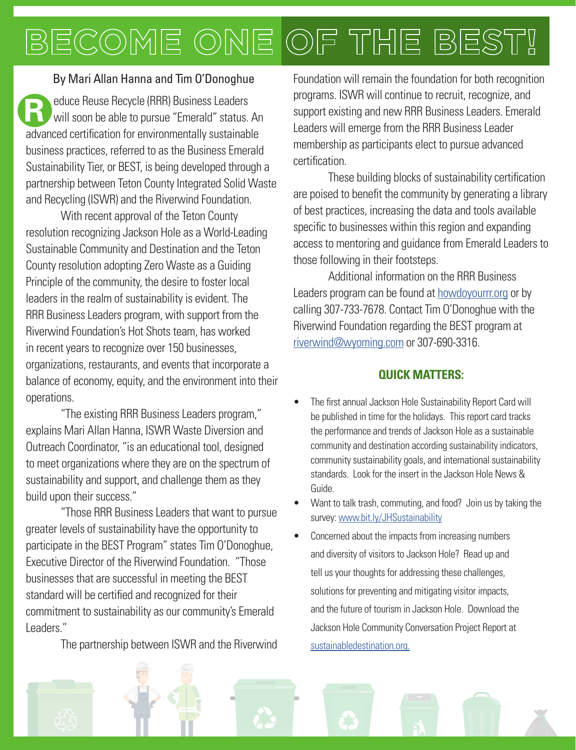## OF THE BEST! BECOME ONE

#### By Mari Allan Hanna and Tim O'Donoghue

**R educe Reuse Recycle (RRR) Business Leaders**<br>
will soon be able to pursue "Emerald" status. An advanced certification for environmentally sustainable business practices, referred to as the Business Emerald Sustainability Tier, or BEST, is being developed through a partnership between Teton County Integrated Solid Waste and Recycling (ISWR) and the Riverwind Foundation.

With recent approval of the Teton County resolution recognizing Jackson Hole as a World-Leading Sustainable Community and Destination and the Teton County resolution adopting Zero Waste as a Guiding Principle of the community, the desire to foster local leaders in the realm of sustainability is evident. The RRR Business Leaders program, with support from the Riverwind Foundation's Hot Shots team, has worked in recent years to recognize over 150 businesses, organizations, restaurants, and events that incorporate a balance of economy, equity, and the environment into their operations.

"The existing RRR Business Leaders program," explains Mari Allan Hanna, ISWR Waste Diversion and Outreach Coordinator, "is an educational tool, designed to meet organizations where they are on the spectrum of sustainability and support, and challenge them as they build upon their success."

"Those RRR Business Leaders that want to pursue greater levels of sustainability have the opportunity to participate in the BEST Program" states Tim O'Donoghue, Executive Director of the Riverwind Foundation. "Those businesses that are successful in meeting the BEST standard will be certified and recognized for their commitment to sustainability as our community's Emerald Leaders."

The partnership between ISWR and the Riverwind

Foundation will remain the foundation for both recognition programs. ISWR will continue to recruit, recognize, and support existing and new RRR Business Leaders. Emerald Leaders will emerge from the RRR Business Leader membership as participants elect to pursue advanced certification.

These building blocks of sustainability certification are poised to benefit the community by generating a library of best practices, increasing the data and tools available specific to businesses within this region and expanding access to mentoring and guidance from Emerald Leaders to those following in their footsteps.

Additional information on the RRR Business Leaders program can be found at howdoyourrr.org or by calling 307-733-7678. Contact Tim O'Donoghue with the Riverwind Foundation regarding the BEST program at riverwind@wyoming.com or 307-690-3316.

#### **QUICK MATTERS:**

- The first annual Jackson Hole Sustainability Report Card will be published in time for the holidays. This report card tracks the performance and trends of Jackson Hole as a sustainable community and destination according sustainability indicators, community sustainability goals, and international sustainability standards. Look for the insert in the Jackson Hole News & Guide.
- Want to talk trash, commuting, and food? Join us by taking the survey: www.bit.ly/JHSustainability
- Concerned about the impacts from increasing numbers and diversity of visitors to Jackson Hole? Read up and tell us your thoughts for addressing these challenges, solutions for preventing and mitigating visitor impacts, and the future of tourism in Jackson Hole. Download the Jackson Hole Community Conversation Project Report at sustainabledestination.org.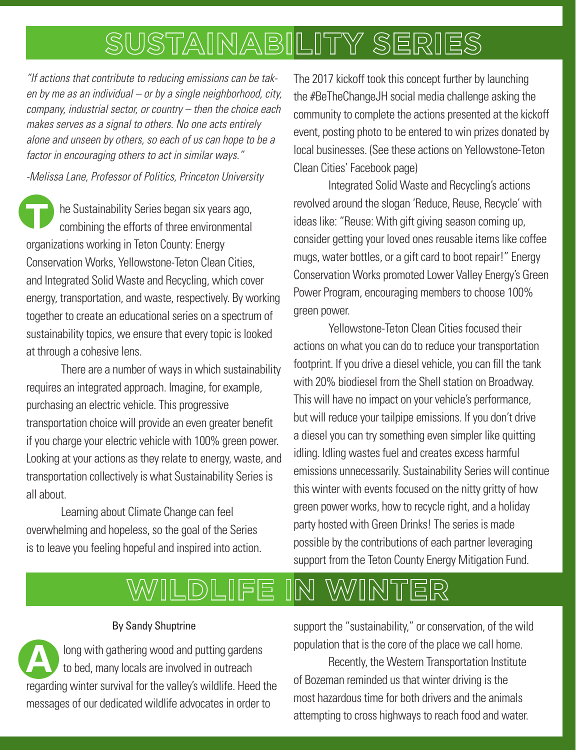## SUSTAINABILITY SERIES

*"If actions that contribute to reducing emissions can be taken by me as an individual – or by a single neighborhood, city, company, industrial sector, or country – then the choice each makes serves as a signal to others. No one acts entirely alone and unseen by others, so each of us can hope to be a factor in encouraging others to act in similar ways."*

*-Melissa Lane, Professor of Politics, Princeton University*

**T** he Sustainability Series began six years ago, combining the efforts of three environmental organizations working in Teton County: Energy Conservation Works, Yellowstone-Teton Clean Cities, and Integrated Solid Waste and Recycling, which cover energy, transportation, and waste, respectively. By working together to create an educational series on a spectrum of sustainability topics, we ensure that every topic is looked at through a cohesive lens.

There are a number of ways in which sustainability requires an integrated approach. Imagine, for example, purchasing an electric vehicle. This progressive transportation choice will provide an even greater benefit if you charge your electric vehicle with 100% green power. Looking at your actions as they relate to energy, waste, and transportation collectively is what Sustainability Series is all about.

Learning about Climate Change can feel overwhelming and hopeless, so the goal of the Series is to leave you feeling hopeful and inspired into action.

The 2017 kickoff took this concept further by launching the #BeTheChangeJH social media challenge asking the community to complete the actions presented at the kickoff event, posting photo to be entered to win prizes donated by local businesses. (See these actions on Yellowstone-Teton Clean Cities' Facebook page)

Integrated Solid Waste and Recycling's actions revolved around the slogan 'Reduce, Reuse, Recycle' with ideas like: "Reuse: With gift giving season coming up, consider getting your loved ones reusable items like coffee mugs, water bottles, or a gift card to boot repair!" Energy Conservation Works promoted Lower Valley Energy's Green Power Program, encouraging members to choose 100% green power.

Yellowstone-Teton Clean Cities focused their actions on what you can do to reduce your transportation footprint. If you drive a diesel vehicle, you can fill the tank with 20% biodiesel from the Shell station on Broadway. This will have no impact on your vehicle's performance, but will reduce your tailpipe emissions. If you don't drive a diesel you can try something even simpler like quitting idling. Idling wastes fuel and creates excess harmful emissions unnecessarily. Sustainability Series will continue this winter with events focused on the nitty gritty of how green power works, how to recycle right, and a holiday party hosted with Green Drinks! The series is made possible by the contributions of each partner leveraging support from the Teton County Energy Mitigation Fund.

#### N WINTER |||L|D)|L|||F|E

#### By Sandy Shuptrine

**A** long with gathering wood and putting gardens to bed, many locals are involved in outreach regarding winter survival for the valley's wildlife. Heed the messages of our dedicated wildlife advocates in order to

support the "sustainability," or conservation, of the wild population that is the core of the place we call home.

Recently, the Western Transportation Institute of Bozeman reminded us that winter driving is the most hazardous time for both drivers and the animals attempting to cross highways to reach food and water.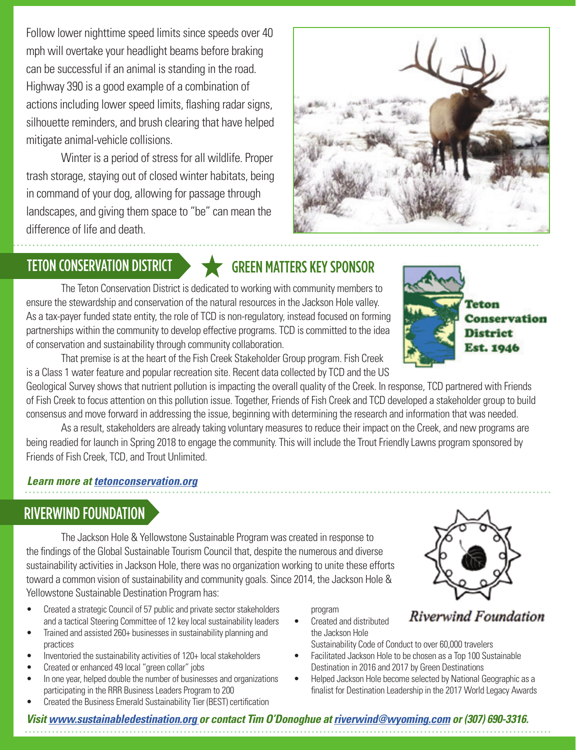Follow lower nighttime speed limits since speeds over 40 mph will overtake your headlight beams before braking can be successful if an animal is standing in the road. Highway 390 is a good example of a combination of actions including lower speed limits, flashing radar signs, silhouette reminders, and brush clearing that have helped mitigate animal-vehicle collisions.

Winter is a period of stress for all wildlife. Proper trash storage, staying out of closed winter habitats, being in command of your dog, allowing for passage through landscapes, and giving them space to "be" can mean the difference of life and death.

## TETON CONSERVATION DISTRICT **CONSERVATION CONSERVATION**

The Teton Conservation District is dedicated to working with community members to ensure the stewardship and conservation of the natural resources in the Jackson Hole valley. As a tax-payer funded state entity, the role of TCD is non-regulatory, instead focused on forming partnerships within the community to develop effective programs. TCD is committed to the idea of conservation and sustainability through community collaboration.

That premise is at the heart of the Fish Creek Stakeholder Group program. Fish Creek is a Class 1 water feature and popular recreation site. Recent data collected by TCD and the US

Geological Survey shows that nutrient pollution is impacting the overall quality of the Creek. In response, TCD partnered with Friends of Fish Creek to focus attention on this pollution issue. Together, Friends of Fish Creek and TCD developed a stakeholder group to build consensus and move forward in addressing the issue, beginning with determining the research and information that was needed.

As a result, stakeholders are already taking voluntary measures to reduce their impact on the Creek, and new programs are being readied for launch in Spring 2018 to engage the community. This will include the Trout Friendly Lawns program sponsored by Friends of Fish Creek, TCD, and Trout Unlimited.

#### *Learn more at tetonconservation.org*

## RIVERWIND FOUNDATION

The Jackson Hole & Yellowstone Sustainable Program was created in response to the findings of the Global Sustainable Tourism Council that, despite the numerous and diverse sustainability activities in Jackson Hole, there was no organization working to unite these efforts toward a common vision of sustainability and community goals. Since 2014, the Jackson Hole & Yellowstone Sustainable Destination Program has:

- Created a strategic Council of 57 public and private sector stakeholders and a tactical Steering Committee of 12 key local sustainability leaders
- Trained and assisted 260+ businesses in sustainability planning and practices
- Inventoried the sustainability activities of 120+ local stakeholders
- Created or enhanced 49 local "green collar" jobs
- In one year, helped double the number of businesses and organizations participating in the RRR Business Leaders Program to 200
- Created the Business Emerald Sustainability Tier (BEST) certification

program

- Created and distributed the Jackson Hole Sustainability Code of Conduct to over 60,000 travelers
- Facilitated Jackson Hole to be chosen as a Top 100 Sustainable Destination in 2016 and 2017 by Green Destinations
- Helped Jackson Hole become selected by National Geographic as a finalist for Destination Leadership in the 2017 World Legacy Awards







#### *Visit www.sustainabledestination.org or contact Tim O'Donoghue at riverwind@wyoming.com or (307) 690-3316.*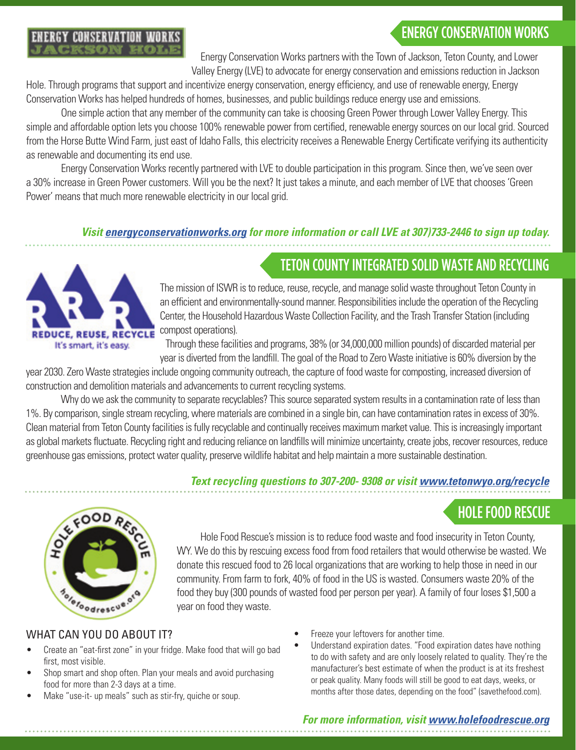## ENERGY CONSERVATION WORKS



Energy Conservation Works partners with the Town of Jackson, Teton County, and Lower Valley Energy (LVE) to advocate for energy conservation and emissions reduction in Jackson

Hole. Through programs that support and incentivize energy conservation, energy efficiency, and use of renewable energy, Energy Conservation Works has helped hundreds of homes, businesses, and public buildings reduce energy use and emissions.

One simple action that any member of the community can take is choosing Green Power through Lower Valley Energy. This simple and affordable option lets you choose 100% renewable power from certified, renewable energy sources on our local grid. Sourced from the Horse Butte Wind Farm, just east of Idaho Falls, this electricity receives a Renewable Energy Certificate verifying its authenticity as renewable and documenting its end use.

Energy Conservation Works recently partnered with LVE to double participation in this program. Since then, we've seen over a 30% increase in Green Power customers. Will you be the next? It just takes a minute, and each member of LVE that chooses 'Green Power' means that much more renewable electricity in our local grid.

#### *Visit energyconservationworks.org for more information or call LVE at 307)733-2446 to sign up today.*



TETON COUNTY INTEGRATED SOLID WASTE AND RECYCLING The mission of ISWR is to reduce, reuse, recycle, and manage solid waste throughout Teton County in an efficient and environmentally-sound manner. Responsibilities include the operation of the Recycling Center, the Household Hazardous Waste Collection Facility, and the Trash Transfer Station (including

compost operations). Through these facilities and programs, 38% (or 34,000,000 million pounds) of discarded material per year is diverted from the landfill. The goal of the Road to Zero Waste initiative is 60% diversion by the

year 2030. Zero Waste strategies include ongoing community outreach, the capture of food waste for composting, increased diversion of construction and demolition materials and advancements to current recycling systems.

Why do we ask the community to separate recyclables? This source separated system results in a contamination rate of less than 1%. By comparison, single stream recycling, where materials are combined in a single bin, can have contamination rates in excess of 30%. Clean material from Teton County facilities is fully recyclable and continually receives maximum market value. This is increasingly important as global markets fluctuate. Recycling right and reducing reliance on landfills will minimize uncertainty, create jobs, recover resources, reduce greenhouse gas emissions, protect water quality, preserve wildlife habitat and help maintain a more sustainable destination.

#### *Text recycling questions to 307-200- 9308 or visit www.tetonwyo.org/recycle*





Hole Food Rescue's mission is to reduce food waste and food insecurity in Teton County, WY. We do this by rescuing excess food from food retailers that would otherwise be wasted. We donate this rescued food to 26 local organizations that are working to help those in need in our community. From farm to fork, 40% of food in the US is wasted. Consumers waste 20% of the food they buy (300 pounds of wasted food per person per year). A family of four loses \$1,500 a year on food they waste.

#### WHAT CAN YOU DO ABOUT IT?

- Create an "eat-first zone" in your fridge. Make food that will go bad first, most visible.
- Shop smart and shop often. Plan your meals and avoid purchasing food for more than 2-3 days at a time.
- Make "use-it- up meals" such as stir-fry, quiche or soup.
- Freeze your leftovers for another time.
- Understand expiration dates. "Food expiration dates have nothing to do with safety and are only loosely related to quality. They're the manufacturer's best estimate of when the product is at its freshest or peak quality. Many foods will still be good to eat days, weeks, or months after those dates, depending on the food" (savethefood.com).

#### *For more information, visit www.holefoodrescue.org*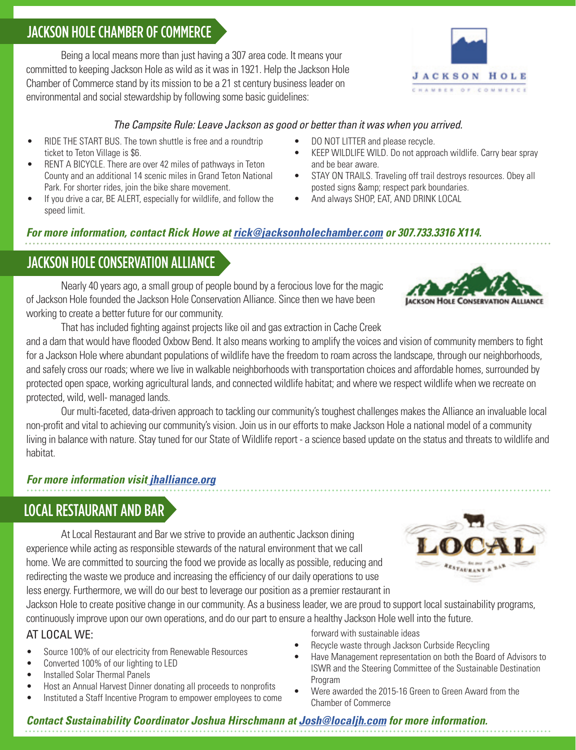## JACKSON HOLE CHAMBER OF COMMERCE

Being a local means more than just having a 307 area code. It means your committed to keeping Jackson Hole as wild as it was in 1921. Help the Jackson Hole Chamber of Commerce stand by its mission to be a 21 st century business leader on environmental and social stewardship by following some basic guidelines:

#### *The Campsite Rule: Leave Jackson as good or better than it was when you arrived.*

- RIDE THE START BUS. The town shuttle is free and a roundtrip ticket to Teton Village is \$6.
- RENT A BICYCLE. There are over 42 miles of pathways in Teton County and an additional 14 scenic miles in Grand Teton National Park. For shorter rides, join the bike share movement.
- If you drive a car, BE ALERT, especially for wildlife, and follow the speed limit.
- DO NOT LITTER and please recycle.
- KEEP WILDLIFE WILD. Do not approach wildlife. Carry bear spray and be bear aware.
- STAY ON TRAILS. Traveling off trail destroys resources. Obey all posted signs & amp; respect park boundaries.
- And always SHOP, EAT, AND DRINK LOCAL

#### *For more information, contact Rick Howe at rick@jacksonholechamber.com or 307.733.3316 X114.*

## JACKSON HOLE CONSERVATION ALLIANCE

Nearly 40 years ago, a small group of people bound by a ferocious love for the magic of Jackson Hole founded the Jackson Hole Conservation Alliance. Since then we have been working to create a better future for our community.

That has included fighting against projects like oil and gas extraction in Cache Creek and a dam that would have flooded Oxbow Bend. It also means working to amplify the voices and vision of community members to fight for a Jackson Hole where abundant populations of wildlife have the freedom to roam across the landscape, through our neighborhoods, and safely cross our roads; where we live in walkable neighborhoods with transportation choices and affordable homes, surrounded by protected open space, working agricultural lands, and connected wildlife habitat; and where we respect wildlife when we recreate on protected, wild, well- managed lands.

Our multi-faceted, data-driven approach to tackling our community's toughest challenges makes the Alliance an invaluable local non-profit and vital to achieving our community's vision. Join us in our efforts to make Jackson Hole a national model of a community living in balance with nature. Stay tuned for our State of Wildlife report - a science based update on the status and threats to wildlife and habitat.

#### *For more information visit jhalliance.org*

## LOCAL RESTAURANT AND BAR

At Local Restaurant and Bar we strive to provide an authentic Jackson dining experience while acting as responsible stewards of the natural environment that we call home. We are committed to sourcing the food we provide as locally as possible, reducing and redirecting the waste we produce and increasing the efficiency of our daily operations to use

less energy. Furthermore, we will do our best to leverage our position as a premier restaurant in Jackson Hole to create positive change in our community. As a business leader, we are proud to support local sustainability programs,

continuously improve upon our own operations, and do our part to ensure a healthy Jackson Hole well into the future.

#### AT LOCAL WE:

- Source 100% of our electricity from Renewable Resources
- Converted 100% of our lighting to LED
- Installed Solar Thermal Panels
- Host an Annual Harvest Dinner donating all proceeds to nonprofits
- Instituted a Staff Incentive Program to empower employees to come

forward with sustainable ideas

- Recycle waste through Jackson Curbside Recycling
- Have Management representation on both the Board of Advisors to ISWR and the Steering Committee of the Sustainable Destination Program
- Were awarded the 2015-16 Green to Green Award from the Chamber of Commerce

#### *Contact Sustainability Coordinator Joshua Hirschmann at Josh@localjh.com for more information.*



**AURANT** 



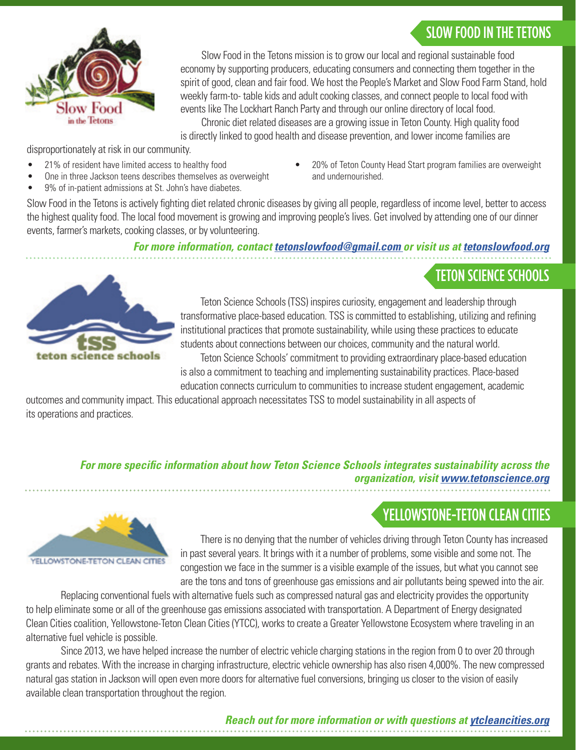## SLOW FOOD IN THE TETONS

TETON SCIENCE SCHOOLS



Slow Food in the Tetons mission is to grow our local and regional sustainable food economy by supporting producers, educating consumers and connecting them together in the spirit of good, clean and fair food. We host the People's Market and Slow Food Farm Stand, hold weekly farm-to- table kids and adult cooking classes, and connect people to local food with events like The Lockhart Ranch Party and through our online directory of local food.

Chronic diet related diseases are a growing issue in Teton County. High quality food is directly linked to good health and disease prevention, and lower income families are

disproportionately at risk in our community.

- 21% of resident have limited access to healthy food
- One in three Jackson teens describes themselves as overweight
- 9% of in-patient admissions at St. John's have diabetes.
- 20% of Teton County Head Start program families are overweight and undernourished.

Slow Food in the Tetons is actively fighting diet related chronic diseases by giving all people, regardless of income level, better to access the highest quality food. The local food movement is growing and improving people's lives. Get involved by attending one of our dinner events, farmer's markets, cooking classes, or by volunteering.

*For more information, contact tetonslowfood@gmail.com or visit us at tetonslowfood.org*



Teton Science Schools (TSS) inspires curiosity, engagement and leadership through transformative place-based education. TSS is committed to establishing, utilizing and refining institutional practices that promote sustainability, while using these practices to educate students about connections between our choices, community and the natural world. Teton Science Schools' commitment to providing extraordinary place-based education

is also a commitment to teaching and implementing sustainability practices. Place-based education connects curriculum to communities to increase student engagement, academic

outcomes and community impact. This educational approach necessitates TSS to model sustainability in all aspects of its operations and practices.

#### *For more specific information about how Teton Science Schools integrates sustainability across the organization, visit www.tetonscience.org*

## YELLOWSTONE-TETON CLEAN CITIES



There is no denying that the number of vehicles driving through Teton County has increased in past several years. It brings with it a number of problems, some visible and some not. The congestion we face in the summer is a visible example of the issues, but what you cannot see are the tons and tons of greenhouse gas emissions and air pollutants being spewed into the air.

Replacing conventional fuels with alternative fuels such as compressed natural gas and electricity provides the opportunity to help eliminate some or all of the greenhouse gas emissions associated with transportation. A Department of Energy designated Clean Cities coalition, Yellowstone-Teton Clean Cities (YTCC), works to create a Greater Yellowstone Ecosystem where traveling in an alternative fuel vehicle is possible.

Since 2013, we have helped increase the number of electric vehicle charging stations in the region from 0 to over 20 through grants and rebates. With the increase in charging infrastructure, electric vehicle ownership has also risen 4,000%. The new compressed natural gas station in Jackson will open even more doors for alternative fuel conversions, bringing us closer to the vision of easily available clean transportation throughout the region.